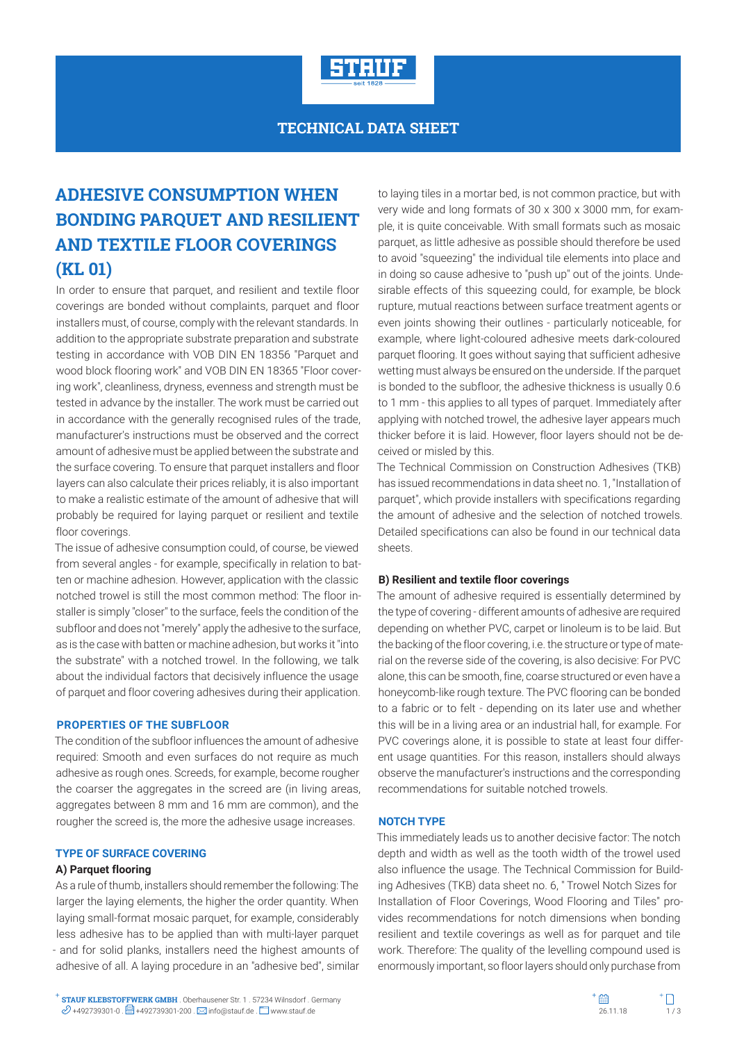

## **TECHNICAL DATA SHEET**

# **ADHESIVE CONSUMPTION WHEN BONDING PARQUET AND RESILIENT AND TEXTILE FLOOR COVERINGS (KL 01)**

In order to ensure that parquet, and resilient and textile floor coverings are bonded without complaints, parquet and floor installers must, of course, comply with the relevant standards. In addition to the appropriate substrate preparation and substrate testing in accordance with VOB DIN EN 18356 "Parquet and wood block flooring work" and VOB DIN EN 18365 "Floor covering work", cleanliness, dryness, evenness and strength must be tested in advance by the installer. The work must be carried out in accordance with the generally recognised rules of the trade, manufacturer's instructions must be observed and the correct amount of adhesive must be applied between the substrate and the surface covering. To ensure that parquet installers and floor layers can also calculate their prices reliably, it is also important to make a realistic estimate of the amount of adhesive that will probably be required for laying parquet or resilient and textile floor coverings.

The issue of adhesive consumption could, of course, be viewed from several angles - for example, specifically in relation to batten or machine adhesion. However, application with the classic notched trowel is still the most common method: The floor installer is simply "closer" to the surface, feels the condition of the subfloor and does not "merely" apply the adhesive to the surface, as is the case with batten or machine adhesion, but works it "into the substrate" with a notched trowel. In the following, we talk about the individual factors that decisively influence the usage of parquet and floor covering adhesives during their application.

#### **PROPERTIES OF THE SUBFLOOR**

The condition of the subfloor influences the amount of adhesive required: Smooth and even surfaces do not require as much adhesive as rough ones. Screeds, for example, become rougher the coarser the aggregates in the screed are (in living areas, aggregates between 8 mm and 16 mm are common), and the rougher the screed is, the more the adhesive usage increases.

#### **TYPE OF SURFACE COVERING**

#### **A) Parquet flooring**

As a rule of thumb, installers should remember the following: The larger the laying elements, the higher the order quantity. When laying small-format mosaic parquet, for example, considerably less adhesive has to be applied than with multi-layer parquet - and for solid planks, installers need the highest amounts of adhesive of all. A laying procedure in an "adhesive bed", similar to laying tiles in a mortar bed, is not common practice, but with very wide and long formats of 30 x 300 x 3000 mm, for example, it is quite conceivable. With small formats such as mosaic parquet, as little adhesive as possible should therefore be used to avoid "squeezing" the individual tile elements into place and in doing so cause adhesive to "push up" out of the joints. Undesirable effects of this squeezing could, for example, be block rupture, mutual reactions between surface treatment agents or even joints showing their outlines - particularly noticeable, for example, where light-coloured adhesive meets dark-coloured parquet flooring. It goes without saying that sufficient adhesive wetting must always be ensured on the underside. If the parquet is bonded to the subfloor, the adhesive thickness is usually 0.6 to 1 mm - this applies to all types of parquet. Immediately after applying with notched trowel, the adhesive layer appears much thicker before it is laid. However, floor layers should not be deceived or misled by this.

The Technical Commission on Construction Adhesives (TKB) has issued recommendations in data sheet no. 1, "Installation of parquet", which provide installers with specifications regarding the amount of adhesive and the selection of notched trowels. Detailed specifications can also be found in our technical data sheets.

#### **B) Resilient and textile floor coverings**

The amount of adhesive required is essentially determined by the type of covering - different amounts of adhesive are required depending on whether PVC, carpet or linoleum is to be laid. But the backing of the floor covering, i.e. the structure or type of material on the reverse side of the covering, is also decisive: For PVC alone, this can be smooth, fine, coarse structured or even have a honeycomb-like rough texture. The PVC flooring can be bonded to a fabric or to felt - depending on its later use and whether this will be in a living area or an industrial hall, for example. For PVC coverings alone, it is possible to state at least four different usage quantities. For this reason, installers should always observe the manufacturer's instructions and the corresponding recommendations for suitable notched trowels.

#### **NOTCH TYPE**

This immediately leads us to another decisive factor: The notch depth and width as well as the tooth width of the trowel used also influence the usage. The Technical Commission for Building Adhesives (TKB) data sheet no. 6, " Trowel Notch Sizes for Installation of Floor Coverings, Wood Flooring and Tiles" provides recommendations for notch dimensions when bonding resilient and textile coverings as well as for parquet and tile work. Therefore: The quality of the levelling compound used is enormously important, so floor layers should only purchase from

**STAUF KLEBSTOFFWERK GMBH** . Oberhausener Str. 1 . 57234 Wilnsdorf . Germany **STAUF KLEBSTOFFWERK GMBH** . Oberhausener Str. 1 . 57234 Wilnsdorf . Germany  $\mathscr{D}$  +492739301-0 .  $\Box$  +492739301-200 .  $\boxtimes$  info@stauf.de .  $\Box$  www.stauf.de .  $\Box$  www.stauf.de .  $\Box$  . 26.11.18 1/ 3

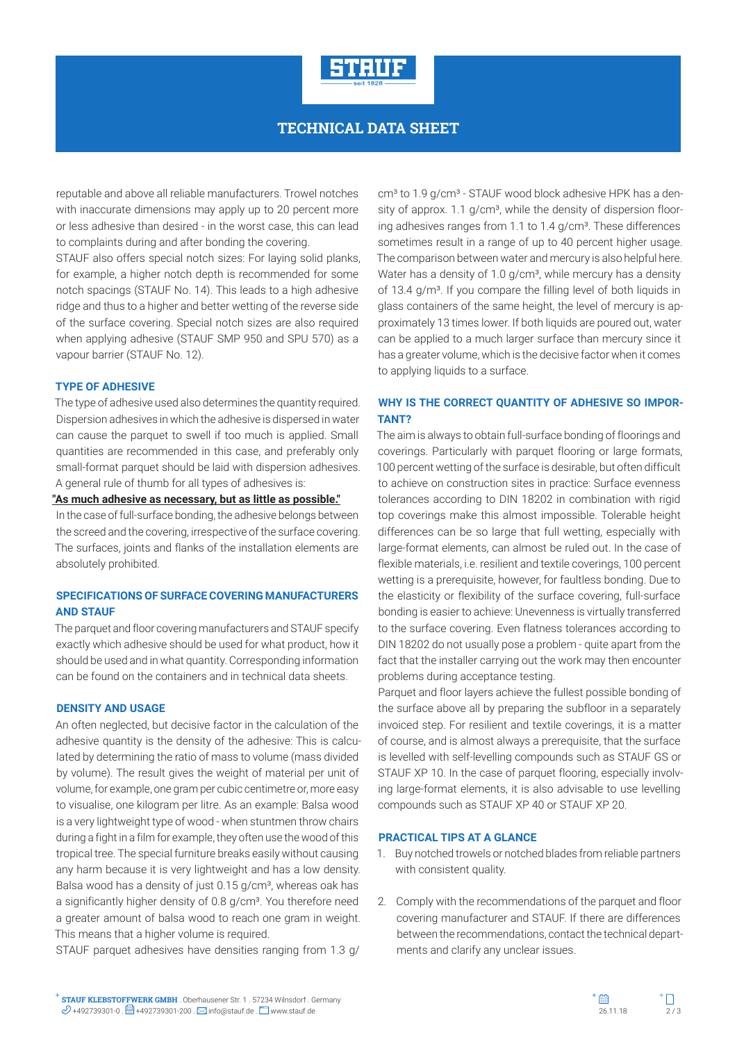

## **TECHNICAL DATA SHEET**

reputable and above all reliable manufacturers. Trowel notches with inaccurate dimensions may apply up to 20 percent more or less adhesive than desired - in the worst case, this can lead to complaints during and after bonding the covering.

STAUF also offers special notch sizes: For laying solid planks, for example, a higher notch depth is recommended for some notch spacings (STAUF No. 14). This leads to a high adhesive ridge and thus to a higher and better wetting of the reverse side of the surface covering. Special notch sizes are also required when applying adhesive (STAUF SMP 950 and SPU 570) as a vapour barrier (STAUF No. 12).

#### **TYPE OF ADHESIVE**

The type of adhesive used also determines the quantity required. Dispersion adhesives in which the adhesive is dispersed in water can cause the parquet to swell if too much is applied. Small quantities are recommended in this case, and preferably only small-format parquet should be laid with dispersion adhesives. A general rule of thumb for all types of adhesives is:

#### **"As much adhesive as necessary, but as little as possible."**

In the case of full-surface bonding, the adhesive belongs between the screed and the covering, irrespective of the surface covering. The surfaces, joints and flanks of the installation elements are absolutely prohibited.

## **SPECIFICATIONS OF SURFACE COVERING MANUFACTURERS AND STAUF**

The parquet and floor covering manufacturers and STAUF specify exactly which adhesive should be used for what product, how it should be used and in what quantity. Corresponding information can be found on the containers and in technical data sheets.

#### **DENSITY AND USAGE**

An often neglected, but decisive factor in the calculation of the adhesive quantity is the density of the adhesive: This is calculated by determining the ratio of mass to volume (mass divided by volume). The result gives the weight of material per unit of volume, for example, one gram per cubic centimetre or, more easy to visualise, one kilogram per litre. As an example: Balsa wood is a very lightweight type of wood - when stuntmen throw chairs during a fight in a film for example, they often use the wood of this tropical tree. The special furniture breaks easily without causing any harm because it is very lightweight and has a low density. Balsa wood has a density of just 0.15 g/cm<sup>3</sup>, whereas oak has a significantly higher density of 0.8 g/cm<sup>3</sup>. You therefore need a greater amount of balsa wood to reach one gram in weight. This means that a higher volume is required.

STAUF parquet adhesives have densities ranging from 1.3 g/

cm<sup>3</sup> to 1.9 g/cm<sup>3</sup> - STAUF wood block adhesive HPK has a density of approx. 1.1 g/cm<sup>3</sup>, while the density of dispersion flooring adhesives ranges from 1.1 to 1.4 g/cm<sup>3</sup>. These differences sometimes result in a range of up to 40 percent higher usage. The comparison between water and mercury is also helpful here. Water has a density of 1.0  $q/cm<sup>3</sup>$ , while mercury has a density of 13.4 g/m<sup>3</sup>. If you compare the filling level of both liquids in glass containers of the same height, the level of mercury is approximately 13 times lower. If both liquids are poured out, water can be applied to a much larger surface than mercury since it has a greater volume, which is the decisive factor when it comes to applying liquids to a surface.

## **WHY IS THE CORRECT QUANTITY OF ADHESIVE SO IMPOR-TANT?**

The aim is always to obtain full-surface bonding of floorings and coverings. Particularly with parquet flooring or large formats, 100 percent wetting of the surface is desirable, but often difficult to achieve on construction sites in practice: Surface evenness tolerances according to DIN 18202 in combination with rigid top coverings make this almost impossible. Tolerable height differences can be so large that full wetting, especially with large-format elements, can almost be ruled out. In the case of flexible materials, i.e. resilient and textile coverings, 100 percent wetting is a prerequisite, however, for faultless bonding. Due to the elasticity or flexibility of the surface covering, full-surface bonding is easier to achieve: Unevenness is virtually transferred to the surface covering. Even flatness tolerances according to DIN 18202 do not usually pose a problem - quite apart from the fact that the installer carrying out the work may then encounter problems during acceptance testing.

Parquet and floor layers achieve the fullest possible bonding of the surface above all by preparing the subfloor in a separately invoiced step. For resilient and textile coverings, it is a matter of course, and is almost always a prerequisite, that the surface is levelled with self-levelling compounds such as STAUF GS or STAUF XP 10. In the case of parquet flooring, especially involving large-format elements, it is also advisable to use levelling compounds such as STAUF XP 40 or STAUF XP 20.

#### **PRACTICAL TIPS AT A GLANCE**

- 1. Buy notched trowels or notched blades from reliable partners with consistent quality.
- 2. Comply with the recommendations of the parquet and floor covering manufacturer and STAUF. If there are differences between the recommendations, contact the technical departments and clarify any unclear issues.